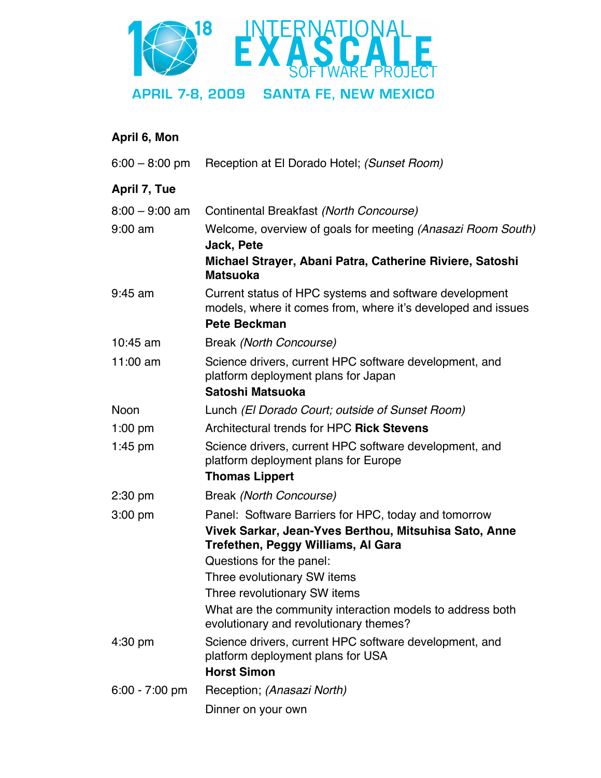

## **April 6, Mon**

| $6:00 - 8:00$ pm | Reception at El Dorado Hotel; (Sunset Room)                                                                                                                                     |
|------------------|---------------------------------------------------------------------------------------------------------------------------------------------------------------------------------|
| April 7, Tue     |                                                                                                                                                                                 |
| $8:00 - 9:00$ am | Continental Breakfast (North Concourse)                                                                                                                                         |
| $9:00$ am        | Welcome, overview of goals for meeting (Anasazi Room South)<br>Jack, Pete                                                                                                       |
|                  | Michael Strayer, Abani Patra, Catherine Riviere, Satoshi<br><b>Matsuoka</b>                                                                                                     |
| $9:45$ am        | Current status of HPC systems and software development<br>models, where it comes from, where it's developed and issues<br><b>Pete Beckman</b>                                   |
| $10:45$ am       | Break (North Concourse)                                                                                                                                                         |
| 11:00 $am$       | Science drivers, current HPC software development, and<br>platform deployment plans for Japan<br>Satoshi Matsuoka                                                               |
| <b>Noon</b>      | Lunch (El Dorado Court; outside of Sunset Room)                                                                                                                                 |
| $1:00$ pm        | Architectural trends for HPC Rick Stevens                                                                                                                                       |
| $1:45$ pm        | Science drivers, current HPC software development, and<br>platform deployment plans for Europe                                                                                  |
|                  | <b>Thomas Lippert</b>                                                                                                                                                           |
| $2:30$ pm        | Break (North Concourse)                                                                                                                                                         |
| $3:00$ pm        | Panel: Software Barriers for HPC, today and tomorrow<br>Vivek Sarkar, Jean-Yves Berthou, Mitsuhisa Sato, Anne<br>Trefethen, Peggy Williams, Al Gara<br>Questions for the panel: |
|                  | Three evolutionary SW items                                                                                                                                                     |
|                  | Three revolutionary SW items                                                                                                                                                    |
|                  | What are the community interaction models to address both<br>evolutionary and revolutionary themes?                                                                             |
| 4:30 pm          | Science drivers, current HPC software development, and<br>platform deployment plans for USA<br><b>Horst Simon</b>                                                               |
| $6:00 - 7:00$ pm | Reception; (Anasazi North)                                                                                                                                                      |
|                  | Dinner on your own                                                                                                                                                              |
|                  |                                                                                                                                                                                 |